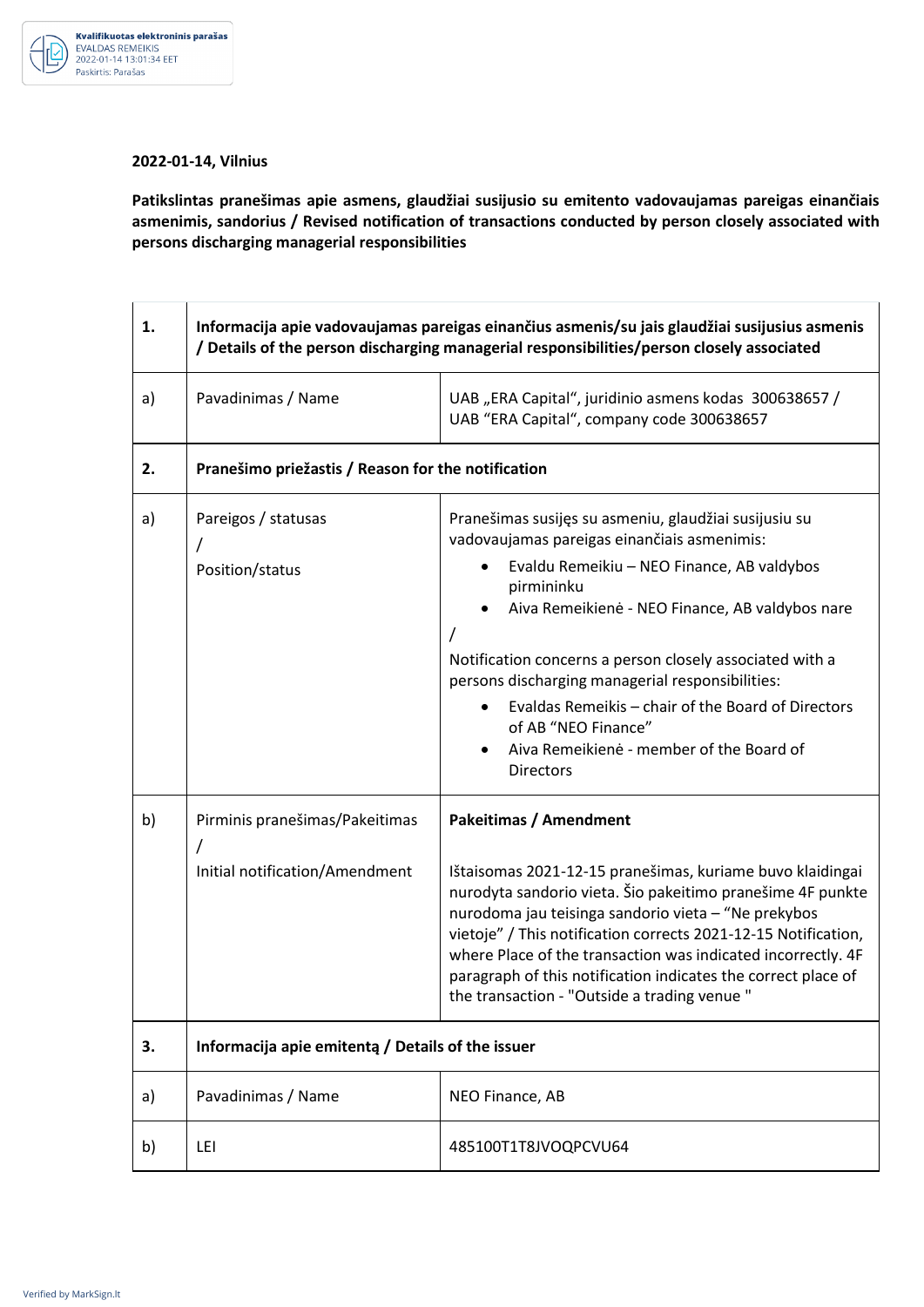

## **2022-01-14, Vilnius**

**Patikslintas pranešimas apie asmens, glaudžiai susijusio su emitento vadovaujamas pareigas einančiais asmenimis, sandorius / Revised notification of transactions conducted by person closely associated with persons discharging managerial responsibilities** 

| 1. | Informacija apie vadovaujamas pareigas einančius asmenis/su jais glaudžiai susijusius asmenis<br>/ Details of the person discharging managerial responsibilities/person closely associated |                                                                                                                                                                                                                                                                                                                                                                                                                                  |  |
|----|--------------------------------------------------------------------------------------------------------------------------------------------------------------------------------------------|----------------------------------------------------------------------------------------------------------------------------------------------------------------------------------------------------------------------------------------------------------------------------------------------------------------------------------------------------------------------------------------------------------------------------------|--|
| a) | Pavadinimas / Name                                                                                                                                                                         | UAB "ERA Capital", juridinio asmens kodas 300638657 /<br>UAB "ERA Capital", company code 300638657                                                                                                                                                                                                                                                                                                                               |  |
| 2. | Pranešimo priežastis / Reason for the notification                                                                                                                                         |                                                                                                                                                                                                                                                                                                                                                                                                                                  |  |
| a) | Pareigos / statusas<br>Position/status                                                                                                                                                     | Pranešimas susijęs su asmeniu, glaudžiai susijusiu su<br>vadovaujamas pareigas einančiais asmenimis:<br>Evaldu Remeikiu - NEO Finance, AB valdybos<br>pirmininku                                                                                                                                                                                                                                                                 |  |
|    |                                                                                                                                                                                            | Aiva Remeikienė - NEO Finance, AB valdybos nare<br>Notification concerns a person closely associated with a                                                                                                                                                                                                                                                                                                                      |  |
|    |                                                                                                                                                                                            | persons discharging managerial responsibilities:<br>Evaldas Remeikis - chair of the Board of Directors<br>of AB "NEO Finance"<br>Aiva Remeikienė - member of the Board of<br><b>Directors</b>                                                                                                                                                                                                                                    |  |
| b) | Pirminis pranešimas/Pakeitimas                                                                                                                                                             | <b>Pakeitimas / Amendment</b>                                                                                                                                                                                                                                                                                                                                                                                                    |  |
|    | Initial notification/Amendment                                                                                                                                                             | Ištaisomas 2021-12-15 pranešimas, kuriame buvo klaidingai<br>nurodyta sandorio vieta. Šio pakeitimo pranešime 4F punkte<br>nurodoma jau teisinga sandorio vieta - "Ne prekybos<br>vietoje" / This notification corrects 2021-12-15 Notification,<br>where Place of the transaction was indicated incorrectly. 4F<br>paragraph of this notification indicates the correct place of<br>the transaction - "Outside a trading venue" |  |
| 3. | Informacija apie emitentą / Details of the issuer                                                                                                                                          |                                                                                                                                                                                                                                                                                                                                                                                                                                  |  |
| a) | Pavadinimas / Name                                                                                                                                                                         | NEO Finance, AB                                                                                                                                                                                                                                                                                                                                                                                                                  |  |
| b) | LEI                                                                                                                                                                                        | 485100T1T8JVOQPCVU64                                                                                                                                                                                                                                                                                                                                                                                                             |  |